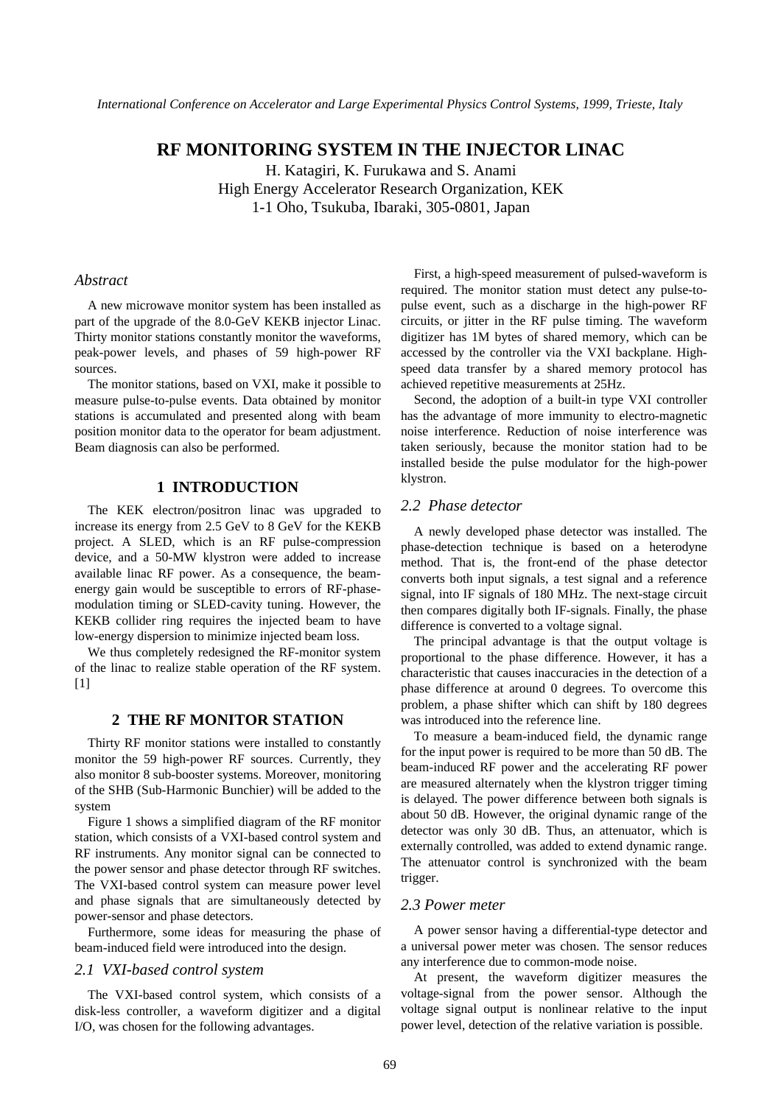# **RF MONITORING SYSTEM IN THE INJECTOR LINAC**

H. Katagiri, K. Furukawa and S. Anami High Energy Accelerator Research Organization, KEK 1-1 Oho, Tsukuba, Ibaraki, 305-0801, Japan

### *Abstract*

A new microwave monitor system has been installed as part of the upgrade of the 8.0-GeV KEKB injector Linac. Thirty monitor stations constantly monitor the waveforms, peak-power levels, and phases of 59 high-power RF sources.

The monitor stations, based on VXI, make it possible to measure pulse-to-pulse events. Data obtained by monitor stations is accumulated and presented along with beam position monitor data to the operator for beam adjustment. Beam diagnosis can also be performed.

### **1 INTRODUCTION**

The KEK electron/positron linac was upgraded to increase its energy from 2.5 GeV to 8 GeV for the KEKB project. A SLED, which is an RF pulse-compression device, and a 50-MW klystron were added to increase available linac RF power. As a consequence, the beamenergy gain would be susceptible to errors of RF-phasemodulation timing or SLED-cavity tuning. However, the KEKB collider ring requires the injected beam to have low-energy dispersion to minimize injected beam loss.

We thus completely redesigned the RF-monitor system of the linac to realize stable operation of the RF system.  $[1]$ 

### **2 THE RF MONITOR STATION**

Thirty RF monitor stations were installed to constantly monitor the 59 high-power RF sources. Currently, they also monitor 8 sub-booster systems. Moreover, monitoring of the SHB (Sub-Harmonic Bunchier) will be added to the system

Figure 1 shows a simplified diagram of the RF monitor station, which consists of a VXI-based control system and RF instruments. Any monitor signal can be connected to the power sensor and phase detector through RF switches. The VXI-based control system can measure power level and phase signals that are simultaneously detected by power-sensor and phase detectors.

Furthermore, some ideas for measuring the phase of beam-induced field were introduced into the design.

#### *2.1 VXI-based control system*

The VXI-based control system, which consists of a disk-less controller, a waveform digitizer and a digital I/O, was chosen for the following advantages.

First, a high-speed measurement of pulsed-waveform is required. The monitor station must detect any pulse-topulse event, such as a discharge in the high-power RF circuits, or jitter in the RF pulse timing. The waveform digitizer has 1M bytes of shared memory, which can be accessed by the controller via the VXI backplane. Highspeed data transfer by a shared memory protocol has achieved repetitive measurements at 25Hz.

Second, the adoption of a built-in type VXI controller has the advantage of more immunity to electro-magnetic noise interference. Reduction of noise interference was taken seriously, because the monitor station had to be installed beside the pulse modulator for the high-power klystron.

### *2.2 Phase detector*

A newly developed phase detector was installed. The phase-detection technique is based on a heterodyne method. That is, the front-end of the phase detector converts both input signals, a test signal and a reference signal, into IF signals of 180 MHz. The next-stage circuit then compares digitally both IF-signals. Finally, the phase difference is converted to a voltage signal.

The principal advantage is that the output voltage is proportional to the phase difference. However, it has a characteristic that causes inaccuracies in the detection of a phase difference at around 0 degrees. To overcome this problem, a phase shifter which can shift by 180 degrees was introduced into the reference line.

To measure a beam-induced field, the dynamic range for the input power is required to be more than 50 dB. The beam-induced RF power and the accelerating RF power are measured alternately when the klystron trigger timing is delayed. The power difference between both signals is about 50 dB. However, the original dynamic range of the detector was only 30 dB. Thus, an attenuator, which is externally controlled, was added to extend dynamic range. The attenuator control is synchronized with the beam trigger.

## *2.3 Power meter*

A power sensor having a differential-type detector and a universal power meter was chosen. The sensor reduces any interference due to common-mode noise.

At present, the waveform digitizer measures the voltage-signal from the power sensor. Although the voltage signal output is nonlinear relative to the input power level, detection of the relative variation is possible.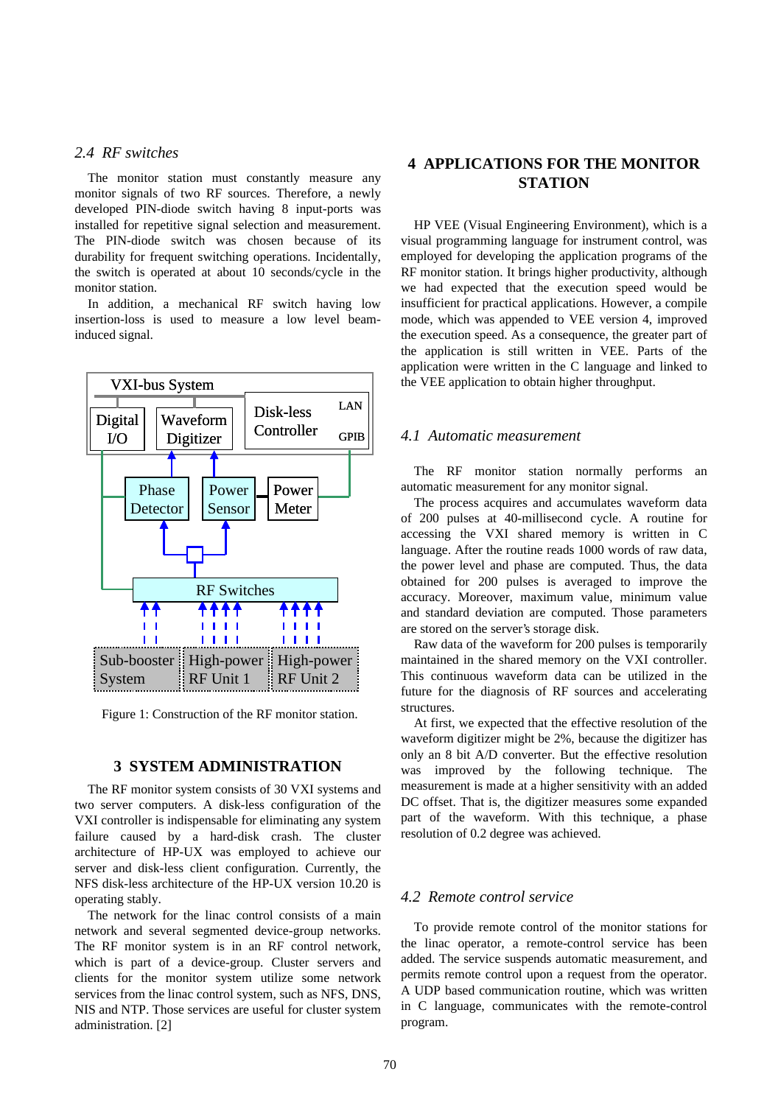## *2.4 RF switches*

The monitor station must constantly measure any monitor signals of two RF sources. Therefore, a newly developed PIN-diode switch having 8 input-ports was installed for repetitive signal selection and measurement. The PIN-diode switch was chosen because of its durability for frequent switching operations. Incidentally, the switch is operated at about 10 seconds/cycle in the monitor station.

In addition, a mechanical RF switch having low insertion-loss is used to measure a low level beaminduced signal.



Figure 1: Construction of the RF monitor station.

#### **3 SYSTEM ADMINISTRATION**

The RF monitor system consists of 30 VXI systems and two server computers. A disk-less configuration of the VXI controller is indispensable for eliminating any system failure caused by a hard-disk crash. The cluster architecture of HP-UX was employed to achieve our server and disk-less client configuration. Currently, the NFS disk-less architecture of the HP-UX version 10.20 is operating stably.

The network for the linac control consists of a main network and several segmented device-group networks. The RF monitor system is in an RF control network, which is part of a device-group. Cluster servers and clients for the monitor system utilize some network services from the linac control system, such as NFS, DNS, NIS and NTP. Those services are useful for cluster system administration. [2]

# **4 APPLICATIONS FOR THE MONITOR STATION**

HP VEE (Visual Engineering Environment), which is a visual programming language for instrument control, was employed for developing the application programs of the RF monitor station. It brings higher productivity, although we had expected that the execution speed would be insufficient for practical applications. However, a compile mode, which was appended to VEE version 4, improved the execution speed. As a consequence, the greater part of the application is still written in VEE. Parts of the application were written in the C language and linked to the VEE application to obtain higher throughput.

### *4.1 Automatic measurement*

The RF monitor station normally performs an automatic measurement for any monitor signal.

The process acquires and accumulates waveform data of 200 pulses at 40-millisecond cycle. A routine for accessing the VXI shared memory is written in C language. After the routine reads 1000 words of raw data, the power level and phase are computed. Thus, the data obtained for 200 pulses is averaged to improve the accuracy. Moreover, maximum value, minimum value and standard deviation are computed. Those parameters are stored on the server's storage disk.

Raw data of the waveform for 200 pulses is temporarily maintained in the shared memory on the VXI controller. This continuous waveform data can be utilized in the future for the diagnosis of RF sources and accelerating structures.

At first, we expected that the effective resolution of the waveform digitizer might be 2%, because the digitizer has only an 8 bit A/D converter. But the effective resolution was improved by the following technique. The measurement is made at a higher sensitivity with an added DC offset. That is, the digitizer measures some expanded part of the waveform. With this technique, a phase resolution of 0.2 degree was achieved.

## *4.2 Remote control service*

To provide remote control of the monitor stations for the linac operator, a remote-control service has been added. The service suspends automatic measurement, and permits remote control upon a request from the operator. A UDP based communication routine, which was written in C language, communicates with the remote-control program.